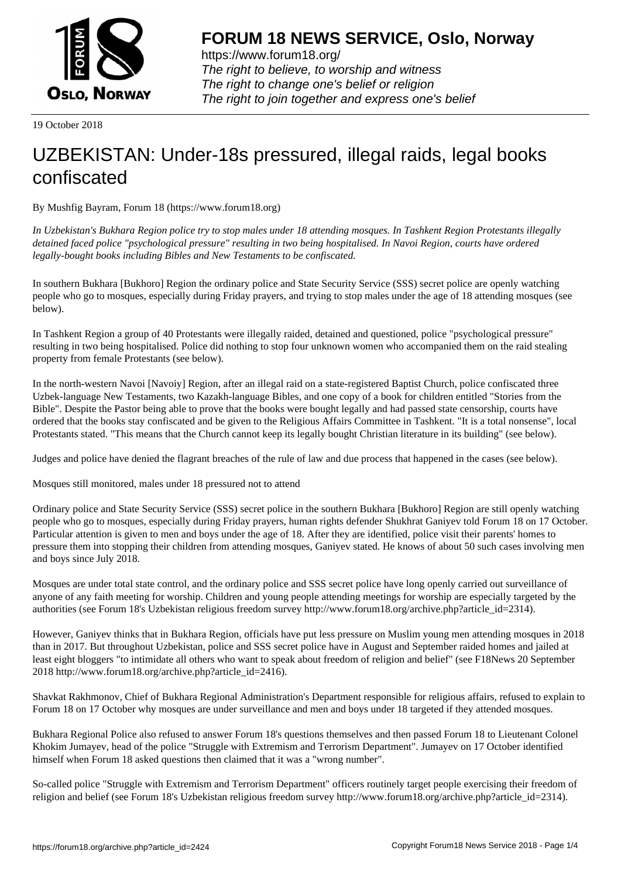

https://www.forum18.org/ The right to believe, to worship and witness The right to change one's belief or religion [The right to join together a](https://www.forum18.org/)nd express one's belief

19 October 2018

## [UZBEKISTAN:](https://www.forum18.org) Under-18s pressured, illegal raids, legal books confiscated

By Mushfig Bayram, Forum 18 (https://www.forum18.org)

*In Uzbekistan's Bukhara Region police try to stop males under 18 attending mosques. In Tashkent Region Protestants illegally detained faced police "psychological pressure" resulting in two being hospitalised. In Navoi Region, courts have ordered legally-bought books including Bibles and New Testaments to be confiscated.*

In southern Bukhara [Bukhoro] Region the ordinary police and State Security Service (SSS) secret police are openly watching people who go to mosques, especially during Friday prayers, and trying to stop males under the age of 18 attending mosques (see below).

In Tashkent Region a group of 40 Protestants were illegally raided, detained and questioned, police "psychological pressure" resulting in two being hospitalised. Police did nothing to stop four unknown women who accompanied them on the raid stealing property from female Protestants (see below).

In the north-western Navoi [Navoiy] Region, after an illegal raid on a state-registered Baptist Church, police confiscated three Uzbek-language New Testaments, two Kazakh-language Bibles, and one copy of a book for children entitled "Stories from the Bible". Despite the Pastor being able to prove that the books were bought legally and had passed state censorship, courts have ordered that the books stay confiscated and be given to the Religious Affairs Committee in Tashkent. "It is a total nonsense", local Protestants stated. "This means that the Church cannot keep its legally bought Christian literature in its building" (see below).

Judges and police have denied the flagrant breaches of the rule of law and due process that happened in the cases (see below).

Mosques still monitored, males under 18 pressured not to attend

Ordinary police and State Security Service (SSS) secret police in the southern Bukhara [Bukhoro] Region are still openly watching people who go to mosques, especially during Friday prayers, human rights defender Shukhrat Ganiyev told Forum 18 on 17 October. Particular attention is given to men and boys under the age of 18. After they are identified, police visit their parents' homes to pressure them into stopping their children from attending mosques, Ganiyev stated. He knows of about 50 such cases involving men and boys since July 2018.

Mosques are under total state control, and the ordinary police and SSS secret police have long openly carried out surveillance of anyone of any faith meeting for worship. Children and young people attending meetings for worship are especially targeted by the authorities (see Forum 18's Uzbekistan religious freedom survey http://www.forum18.org/archive.php?article\_id=2314).

However, Ganiyev thinks that in Bukhara Region, officials have put less pressure on Muslim young men attending mosques in 2018 than in 2017. But throughout Uzbekistan, police and SSS secret police have in August and September raided homes and jailed at least eight bloggers "to intimidate all others who want to speak about freedom of religion and belief" (see F18News 20 September 2018 http://www.forum18.org/archive.php?article\_id=2416).

Shavkat Rakhmonov, Chief of Bukhara Regional Administration's Department responsible for religious affairs, refused to explain to Forum 18 on 17 October why mosques are under surveillance and men and boys under 18 targeted if they attended mosques.

Bukhara Regional Police also refused to answer Forum 18's questions themselves and then passed Forum 18 to Lieutenant Colonel Khokim Jumayev, head of the police "Struggle with Extremism and Terrorism Department". Jumayev on 17 October identified himself when Forum 18 asked questions then claimed that it was a "wrong number".

So-called police "Struggle with Extremism and Terrorism Department" officers routinely target people exercising their freedom of religion and belief (see Forum 18's Uzbekistan religious freedom survey http://www.forum18.org/archive.php?article\_id=2314).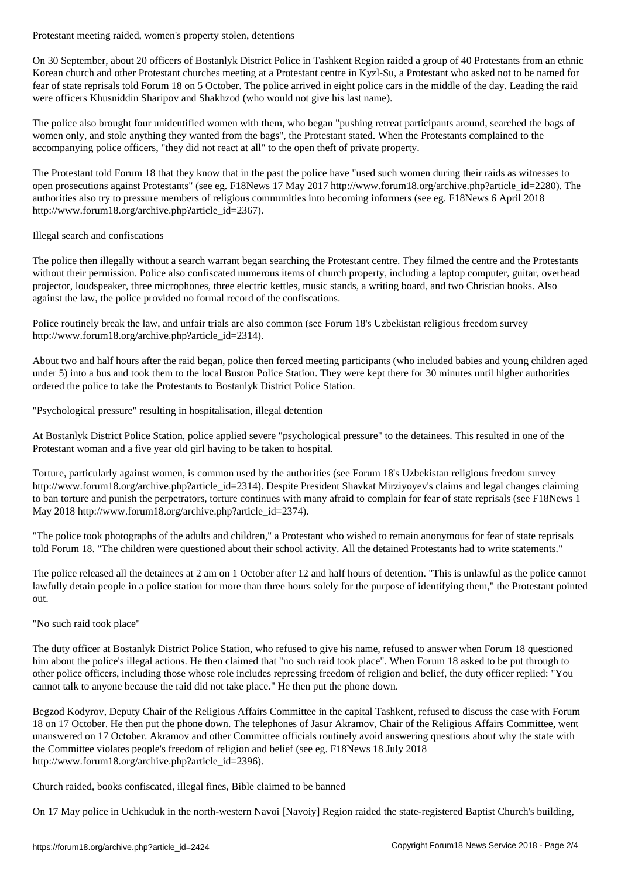On 30 September, about 20 officers of Bostanlyk District Police in Tashkent Region raided a group of 40 Protestants from an ethnic Korean church and other Protestant churches meeting at a Protestant centre in Kyzl-Su, a Protestant who asked not to be named for fear of state reprisals told Forum 18 on 5 October. The police arrived in eight police cars in the middle of the day. Leading the raid were officers Khusniddin Sharipov and Shakhzod (who would not give his last name).

The police also brought four unidentified women with them, who began "pushing retreat participants around, searched the bags of women only, and stole anything they wanted from the bags", the Protestant stated. When the Protestants complained to the accompanying police officers, "they did not react at all" to the open theft of private property.

The Protestant told Forum 18 that they know that in the past the police have "used such women during their raids as witnesses to open prosecutions against Protestants" (see eg. F18News 17 May 2017 http://www.forum18.org/archive.php?article\_id=2280). The authorities also try to pressure members of religious communities into becoming informers (see eg. F18News 6 April 2018 http://www.forum18.org/archive.php?article\_id=2367).

## Illegal search and confiscations

The police then illegally without a search warrant began searching the Protestant centre. They filmed the centre and the Protestants without their permission. Police also confiscated numerous items of church property, including a laptop computer, guitar, overhead projector, loudspeaker, three microphones, three electric kettles, music stands, a writing board, and two Christian books. Also against the law, the police provided no formal record of the confiscations.

Police routinely break the law, and unfair trials are also common (see Forum 18's Uzbekistan religious freedom survey http://www.forum18.org/archive.php?article\_id=2314).

About two and half hours after the raid began, police then forced meeting participants (who included babies and young children aged under 5) into a bus and took them to the local Buston Police Station. They were kept there for 30 minutes until higher authorities ordered the police to take the Protestants to Bostanlyk District Police Station.

"Psychological pressure" resulting in hospitalisation, illegal detention

At Bostanlyk District Police Station, police applied severe "psychological pressure" to the detainees. This resulted in one of the Protestant woman and a five year old girl having to be taken to hospital.

Torture, particularly against women, is common used by the authorities (see Forum 18's Uzbekistan religious freedom survey http://www.forum18.org/archive.php?article\_id=2314). Despite President Shavkat Mirziyoyev's claims and legal changes claiming to ban torture and punish the perpetrators, torture continues with many afraid to complain for fear of state reprisals (see F18News 1 May 2018 http://www.forum18.org/archive.php?article\_id=2374).

"The police took photographs of the adults and children," a Protestant who wished to remain anonymous for fear of state reprisals told Forum 18. "The children were questioned about their school activity. All the detained Protestants had to write statements."

The police released all the detainees at 2 am on 1 October after 12 and half hours of detention. "This is unlawful as the police cannot lawfully detain people in a police station for more than three hours solely for the purpose of identifying them," the Protestant pointed out.

## "No such raid took place"

The duty officer at Bostanlyk District Police Station, who refused to give his name, refused to answer when Forum 18 questioned him about the police's illegal actions. He then claimed that "no such raid took place". When Forum 18 asked to be put through to other police officers, including those whose role includes repressing freedom of religion and belief, the duty officer replied: "You cannot talk to anyone because the raid did not take place." He then put the phone down.

Begzod Kodyrov, Deputy Chair of the Religious Affairs Committee in the capital Tashkent, refused to discuss the case with Forum 18 on 17 October. He then put the phone down. The telephones of Jasur Akramov, Chair of the Religious Affairs Committee, went unanswered on 17 October. Akramov and other Committee officials routinely avoid answering questions about why the state with the Committee violates people's freedom of religion and belief (see eg. F18News 18 July 2018 http://www.forum18.org/archive.php?article\_id=2396).

Church raided, books confiscated, illegal fines, Bible claimed to be banned

On 17 May police in Uchkuduk in the north-western Navoi [Navoiy] Region raided the state-registered Baptist Church's building,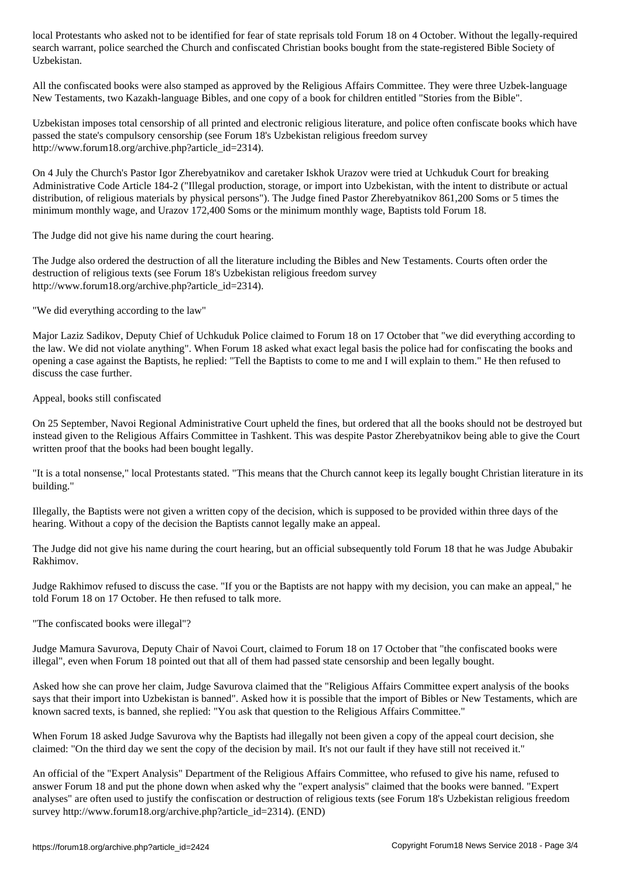search warrant, police searched the Church and confiscated Christian books bought from the state-registered Bible Society of Uzbekistan.

All the confiscated books were also stamped as approved by the Religious Affairs Committee. They were three Uzbek-language New Testaments, two Kazakh-language Bibles, and one copy of a book for children entitled "Stories from the Bible".

Uzbekistan imposes total censorship of all printed and electronic religious literature, and police often confiscate books which have passed the state's compulsory censorship (see Forum 18's Uzbekistan religious freedom survey http://www.forum18.org/archive.php?article\_id=2314).

On 4 July the Church's Pastor Igor Zherebyatnikov and caretaker Iskhok Urazov were tried at Uchkuduk Court for breaking Administrative Code Article 184-2 ("Illegal production, storage, or import into Uzbekistan, with the intent to distribute or actual distribution, of religious materials by physical persons"). The Judge fined Pastor Zherebyatnikov 861,200 Soms or 5 times the minimum monthly wage, and Urazov 172,400 Soms or the minimum monthly wage, Baptists told Forum 18.

The Judge did not give his name during the court hearing.

The Judge also ordered the destruction of all the literature including the Bibles and New Testaments. Courts often order the destruction of religious texts (see Forum 18's Uzbekistan religious freedom survey http://www.forum18.org/archive.php?article\_id=2314).

"We did everything according to the law"

Major Laziz Sadikov, Deputy Chief of Uchkuduk Police claimed to Forum 18 on 17 October that "we did everything according to the law. We did not violate anything". When Forum 18 asked what exact legal basis the police had for confiscating the books and opening a case against the Baptists, he replied: "Tell the Baptists to come to me and I will explain to them." He then refused to discuss the case further.

Appeal, books still confiscated

On 25 September, Navoi Regional Administrative Court upheld the fines, but ordered that all the books should not be destroyed but instead given to the Religious Affairs Committee in Tashkent. This was despite Pastor Zherebyatnikov being able to give the Court written proof that the books had been bought legally.

"It is a total nonsense," local Protestants stated. "This means that the Church cannot keep its legally bought Christian literature in its building."

Illegally, the Baptists were not given a written copy of the decision, which is supposed to be provided within three days of the hearing. Without a copy of the decision the Baptists cannot legally make an appeal.

The Judge did not give his name during the court hearing, but an official subsequently told Forum 18 that he was Judge Abubakir Rakhimov.

Judge Rakhimov refused to discuss the case. "If you or the Baptists are not happy with my decision, you can make an appeal," he told Forum 18 on 17 October. He then refused to talk more.

"The confiscated books were illegal"?

Judge Mamura Savurova, Deputy Chair of Navoi Court, claimed to Forum 18 on 17 October that "the confiscated books were illegal", even when Forum 18 pointed out that all of them had passed state censorship and been legally bought.

Asked how she can prove her claim, Judge Savurova claimed that the "Religious Affairs Committee expert analysis of the books says that their import into Uzbekistan is banned". Asked how it is possible that the import of Bibles or New Testaments, which are known sacred texts, is banned, she replied: "You ask that question to the Religious Affairs Committee."

When Forum 18 asked Judge Savurova why the Baptists had illegally not been given a copy of the appeal court decision, she claimed: "On the third day we sent the copy of the decision by mail. It's not our fault if they have still not received it."

An official of the "Expert Analysis" Department of the Religious Affairs Committee, who refused to give his name, refused to answer Forum 18 and put the phone down when asked why the "expert analysis" claimed that the books were banned. "Expert analyses" are often used to justify the confiscation or destruction of religious texts (see Forum 18's Uzbekistan religious freedom survey http://www.forum18.org/archive.php?article\_id=2314). (END)